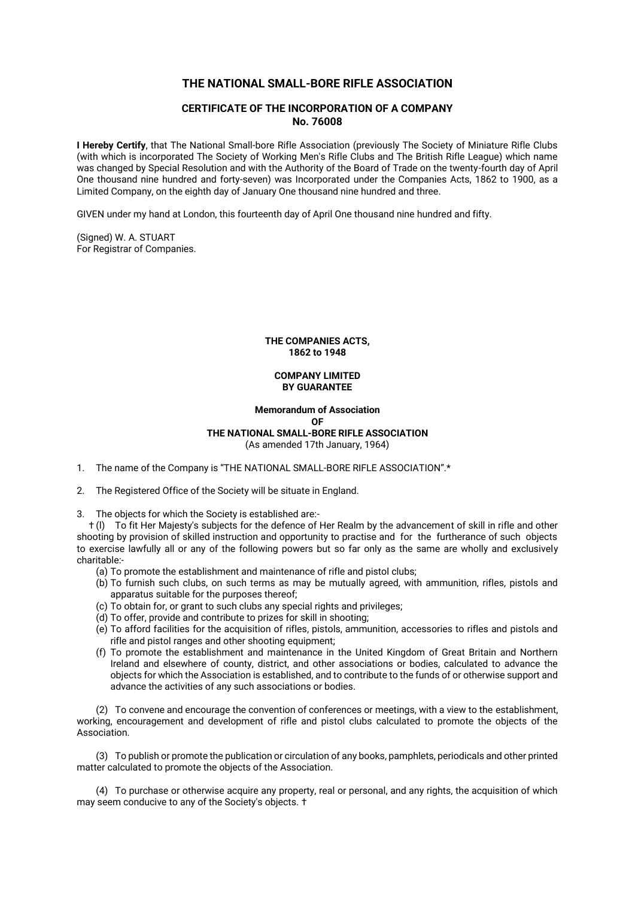# **THE NATIONAL SMALL-BORE RIFLE ASSOCIATION**

# **CERTIFICATE OF THE INCORPORATION OF A COMPANY No. 76008**

**I Hereby Certify**, that The National Small-bore Rifle Association (previously The Society of Miniature Rifle Clubs (with which is incorporated The Society of Working Men's Rifle Clubs and The British Rifle League) which name was changed by Special Resolution and with the Authority of the Board of Trade on the twenty-fourth day of April One thousand nine hundred and forty-seven) was Incorporated under the Companies Acts, 1862 to 1900, as a Limited Company, on the eighth day of January One thousand nine hundred and three.

GIVEN under my hand at London, this fourteenth day of April One thousand nine hundred and fifty.

(Signed) W. A. STUART For Registrar of Companies.

> **THE COMPANIES ACTS, 1862 to 1948**

# **COMPANY LIMITED BY GUARANTEE**

**Memorandum of Association OF THE NATIONAL SMALL-BORE RIFLE ASSOCIATION** (As amended 17th January, 1964)

1. The name of the Company is "THE NATIONAL SMALL-BORE RIFLE ASSOCIATION".\*

2. The Registered Office of the Society will be situate in England.

3. The objects for which the Society is established are:-

 † (l) To fit Her Majesty's subjects for the defence of Her Realm by the advancement of skill in rifle and other shooting by provision of skilled instruction and opportunity to practise and for the furtherance of such objects to exercise lawfully all or any of the following powers but so far only as the same are wholly and exclusively charitable:-

(a) To promote the establishment and maintenance of rifle and pistol clubs;

- (b) To furnish such clubs, on such terms as may be mutually agreed, with ammunition, rifles, pistols and apparatus suitable for the purposes thereof;
- (c) To obtain for, or grant to such clubs any special rights and privileges;
- (d) To offer, provide and contribute to prizes for skill in shooting;
- (e) To afford facilities for the acquisition of rifles, pistols, ammunition, accessories to rifles and pistols and rifle and pistol ranges and other shooting equipment;
- (f) To promote the establishment and maintenance in the United Kingdom of Great Britain and Northern Ireland and elsewhere of county, district, and other associations or bodies, calculated to advance the objects for which the Association is established, and to contribute to the funds of or otherwise support and advance the activities of any such associations or bodies.

(2) To convene and encourage the convention of conferences or meetings, with a view to the establishment, working, encouragement and development of rifle and pistol clubs calculated to promote the objects of the Association.

(3) To publish or promote the publication or circulation of any books, pamphlets, periodicals and other printed matter calculated to promote the objects of the Association.

(4) To purchase or otherwise acquire any property, real or personal, and any rights, the acquisition of which may seem conducive to any of the Society's objects. †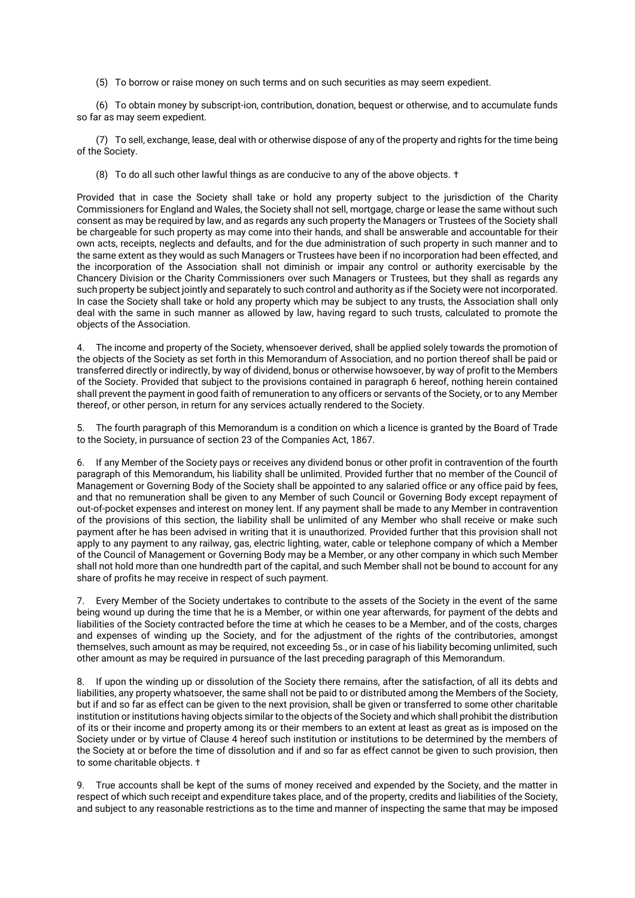(5) To borrow or raise money on such terms and on such securities as may seem expedient.

(6) To obtain money by subscript-ion, contribution, donation, bequest or otherwise, and to accumulate funds so far as may seem expedient.

(7) To sell, exchange, lease, deal with or otherwise dispose of any of the property and rights for the time being of the Society.

(8) To do all such other lawful things as are conducive to any of the above objects. †

Provided that in case the Society shall take or hold any property subject to the jurisdiction of the Charity Commissioners for England and Wales, the Society shall not sell, mortgage, charge or lease the same without such consent as may be required by law, and as regards any such property the Managers or Trustees of the Society shall be chargeable for such property as may come into their hands, and shall be answerable and accountable for their own acts, receipts, neglects and defaults, and for the due administration of such property in such manner and to the same extent as they would as such Managers or Trustees have been if no incorporation had been effected, and the incorporation of the Association shall not diminish or impair any control or authority exercisable by the Chancery Division or the Charity Commissioners over such Managers or Trustees, but they shall as regards any such property be subject jointly and separately to such control and authority as if the Society were not incorporated. In case the Society shall take or hold any property which may be subject to any trusts, the Association shall only deal with the same in such manner as allowed by law, having regard to such trusts, calculated to promote the objects of the Association.

4. The income and property of the Society, whensoever derived, shall be applied solely towards the promotion of the objects of the Society as set forth in this Memorandum of Association, and no portion thereof shall be paid or transferred directly or indirectly, by way of dividend, bonus or otherwise howsoever, by way of profit to the Members of the Society. Provided that subject to the provisions contained in paragraph 6 hereof, nothing herein contained shall prevent the payment in good faith of remuneration to any officers or servants of the Society, or to any Member thereof, or other person, in return for any services actually rendered to the Society.

5. The fourth paragraph of this Memorandum is a condition on which a licence is granted by the Board of Trade to the Society, in pursuance of section 23 of the Companies Act, 1867.

6. If any Member of the Society pays or receives any dividend bonus or other profit in contravention of the fourth paragraph of this Memorandum, his liability shall be unlimited. Provided further that no member of the Council of Management or Governing Body of the Society shall be appointed to any salaried office or any office paid by fees, and that no remuneration shall be given to any Member of such Council or Governing Body except repayment of out-of-pocket expenses and interest on money lent. If any payment shall be made to any Member in contravention of the provisions of this section, the liability shall be unlimited of any Member who shall receive or make such payment after he has been advised in writing that it is unauthorized. Provided further that this provision shall not apply to any payment to any railway, gas, electric lighting, water, cable or telephone company of which a Member of the Council of Management or Governing Body may be a Member, or any other company in which such Member shall not hold more than one hundredth part of the capital, and such Member shall not be bound to account for any share of profits he may receive in respect of such payment.

7. Every Member of the Society undertakes to contribute to the assets of the Society in the event of the same being wound up during the time that he is a Member, or within one year afterwards, for payment of the debts and liabilities of the Society contracted before the time at which he ceases to be a Member, and of the costs, charges and expenses of winding up the Society, and for the adjustment of the rights of the contributories, amongst themselves, such amount as may be required, not exceeding 5s., or in case of his liability becoming unlimited, such other amount as may be required in pursuance of the last preceding paragraph of this Memorandum.

8. If upon the winding up or dissolution of the Society there remains, after the satisfaction, of all its debts and liabilities, any property whatsoever, the same shall not be paid to or distributed among the Members of the Society, but if and so far as effect can be given to the next provision, shall be given or transferred to some other charitable institution or institutions having objects similar to the objects of the Society and which shall prohibit the distribution of its or their income and property among its or their members to an extent at least as great as is imposed on the Society under or by virtue of Clause 4 hereof such institution or institutions to be determined by the members of the Society at or before the time of dissolution and if and so far as effect cannot be given to such provision, then to some charitable objects. †

9. True accounts shall be kept of the sums of money received and expended by the Society, and the matter in respect of which such receipt and expenditure takes place, and of the property, credits and liabilities of the Society, and subject to any reasonable restrictions as to the time and manner of inspecting the same that may be imposed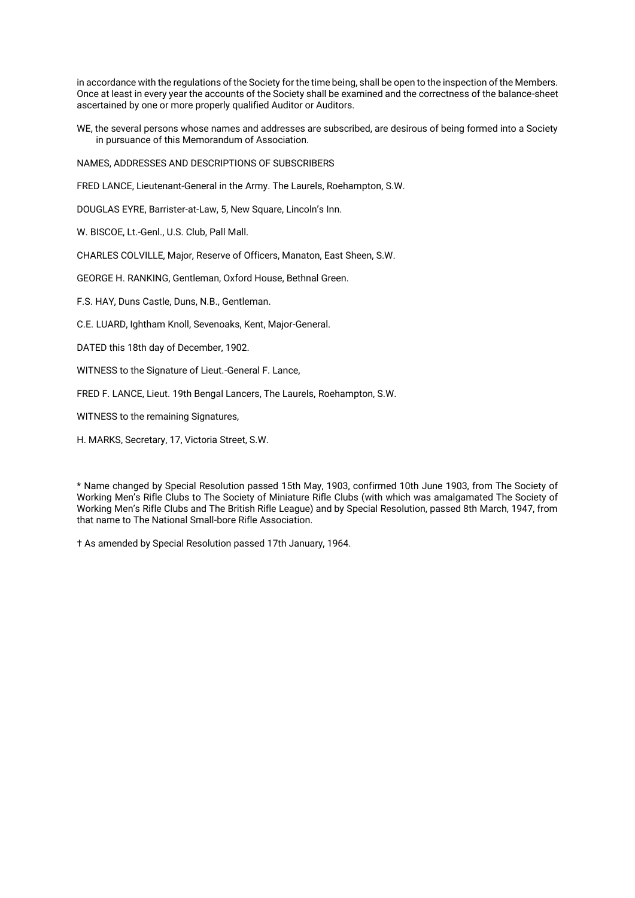in accordance with the regulations of the Society for the time being, shall be open to the inspection of the Members. Once at least in every year the accounts of the Society shall be examined and the correctness of the balance-sheet ascertained by one or more properly qualified Auditor or Auditors.

WE, the several persons whose names and addresses are subscribed, are desirous of being formed into a Society in pursuance of this Memorandum of Association.

NAMES, ADDRESSES AND DESCRIPTIONS OF SUBSCRIBERS

FRED LANCE, Lieutenant-General in the Army. The Laurels, Roehampton, S.W.

DOUGLAS EYRE, Barrister-at-Law, 5, New Square, Lincoln's Inn.

W. BISCOE, Lt.-Genl., U.S. Club, Pall Mall.

CHARLES COLVILLE, Major, Reserve of Officers, Manaton, East Sheen, S.W.

GEORGE H. RANKING, Gentleman, Oxford House, Bethnal Green.

F.S. HAY, Duns Castle, Duns, N.B., Gentleman.

C.E. LUARD, Ightham Knoll, Sevenoaks, Kent, Major-General.

DATED this 18th day of December, 1902.

WITNESS to the Signature of Lieut.-General F. Lance,

FRED F. LANCE, Lieut. 19th Bengal Lancers, The Laurels, Roehampton, S.W.

WITNESS to the remaining Signatures,

H. MARKS, Secretary, 17, Victoria Street, S.W.

\* Name changed by Special Resolution passed 15th May, 1903, confirmed 10th June 1903, from The Society of Working Men's Rifle Clubs to The Society of Miniature Rifle Clubs (with which was amalgamated The Society of Working Men's Rifle Clubs and The British Rifle League) and by Special Resolution, passed 8th March, 1947, from that name to The National Small-bore Rifle Association.

† As amended by Special Resolution passed 17th January, 1964.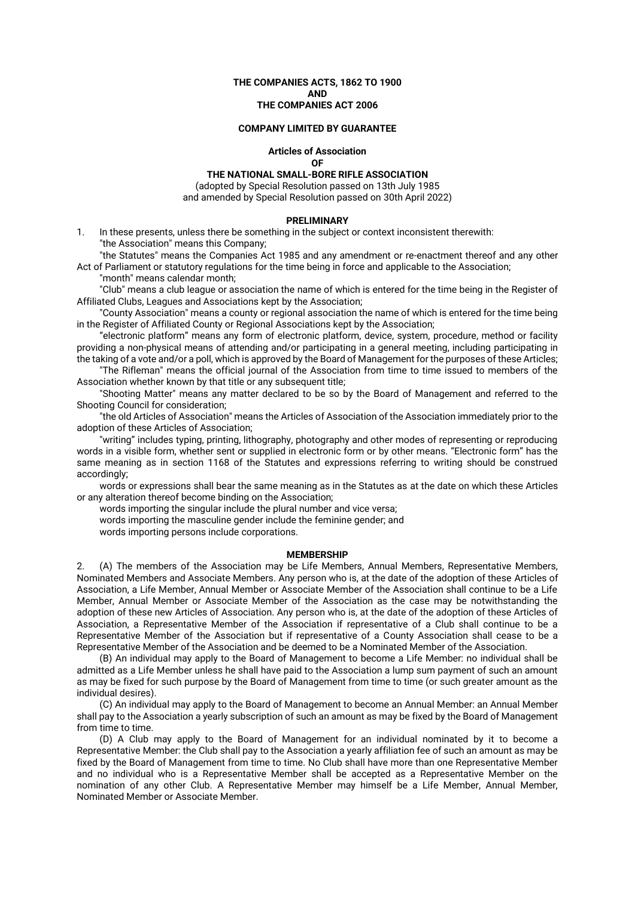**THE COMPANIES ACTS, 1862 TO 1900 AND THE COMPANIES ACT 2006**

#### **COMPANY LIMITED BY GUARANTEE**

**Articles of Association OF**

**THE NATIONAL SMALL-BORE RIFLE ASSOCIATION**

(adopted by Special Resolution passed on 13th July 1985 and amended by Special Resolution passed on 30th April 2022)

#### **PRELIMINARY**

1. In these presents, unless there be something in the subject or context inconsistent therewith: "the Association" means this Company;

"the Statutes" means the Companies Act 1985 and any amendment or re-enactment thereof and any other Act of Parliament or statutory regulations for the time being in force and applicable to the Association;

"month" means calendar month;

"Club" means a club league or association the name of which is entered for the time being in the Register of Affiliated Clubs, Leagues and Associations kept by the Association;

"County Association" means a county or regional association the name of which is entered for the time being in the Register of Affiliated County or Regional Associations kept by the Association;

"electronic platform" means any form of electronic platform, device, system, procedure, method or facility providing a non-physical means of attending and/or participating in a general meeting, including participating in the taking of a vote and/or a poll, which is approved by the Board of Management for the purposes of these Articles;

"The Rifleman" means the official journal of the Association from time to time issued to members of the Association whether known by that title or any subsequent title;

"Shooting Matter" means any matter declared to be so by the Board of Management and referred to the Shooting Council for consideration;

"the old Articles of Association" means the Articles of Association of the Association immediately prior to the adoption of these Articles of Association;

"writing" includes typing, printing, lithography, photography and other modes of representing or reproducing words in a visible form, whether sent or supplied in electronic form or by other means. "Electronic form" has the same meaning as in section 1168 of the Statutes and expressions referring to writing should be construed accordingly;

words or expressions shall bear the same meaning as in the Statutes as at the date on which these Articles or any alteration thereof become binding on the Association;

words importing the singular include the plural number and vice versa;

words importing the masculine gender include the feminine gender; and

words importing persons include corporations.

# **MEMBERSHIP**

2. (A) The members of the Association may be Life Members, Annual Members, Representative Members, Nominated Members and Associate Members. Any person who is, at the date of the adoption of these Articles of Association, a Life Member, Annual Member or Associate Member of the Association shall continue to be a Life Member, Annual Member or Associate Member of the Association as the case may be notwithstanding the adoption of these new Articles of Association. Any person who is, at the date of the adoption of these Articles of Association, a Representative Member of the Association if representative of a Club shall continue to be a Representative Member of the Association but if representative of a County Association shall cease to be a Representative Member of the Association and be deemed to be a Nominated Member of the Association.

(B) An individual may apply to the Board of Management to become a Life Member: no individual shall be admitted as a Life Member unless he shall have paid to the Association a lump sum payment of such an amount as may be fixed for such purpose by the Board of Management from time to time (or such greater amount as the individual desires).

(C) An individual may apply to the Board of Management to become an Annual Member: an Annual Member shall pay to the Association a yearly subscription of such an amount as may be fixed by the Board of Management from time to time.

(D) A Club may apply to the Board of Management for an individual nominated by it to become a Representative Member: the Club shall pay to the Association a yearly affiliation fee of such an amount as may be fixed by the Board of Management from time to time. No Club shall have more than one Representative Member and no individual who is a Representative Member shall be accepted as a Representative Member on the nomination of any other Club. A Representative Member may himself be a Life Member, Annual Member, Nominated Member or Associate Member.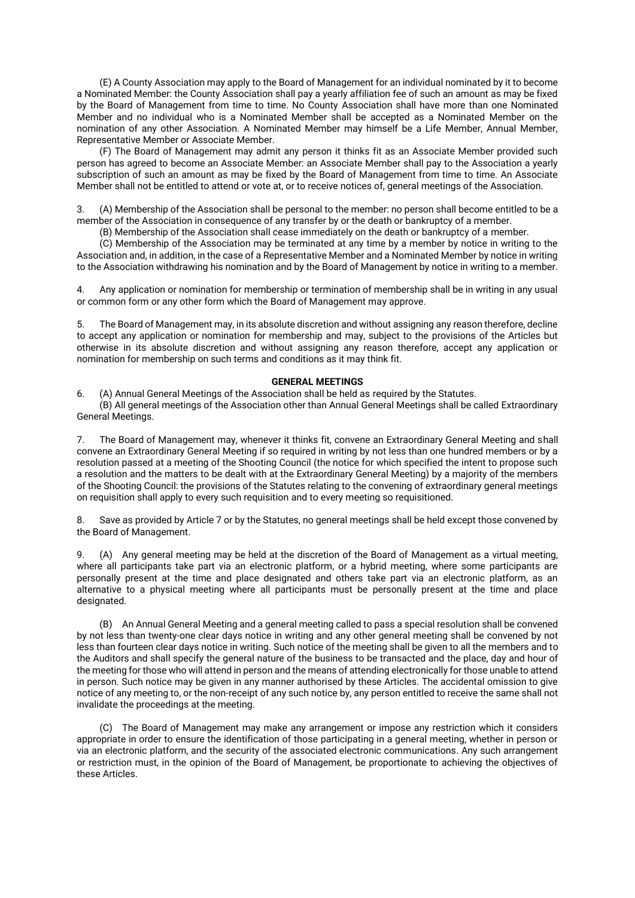(E) A County Association may apply to the Board of Management for an individual nominated by it to become a Nominated Member: the County Association shall pay a yearly affiliation fee of such an amount as may be fixed by the Board of Management from time to time. No County Association shall have more than one Nominated Member and no individual who is a Nominated Member shall be accepted as a Nominated Member on the nomination of any other Association. A Nominated Member may himself be a Life Member, Annual Member, Representative Member or Associate Member.

(F) The Board of Management may admit any person it thinks fit as an Associate Member provided such person has agreed to become an Associate Member: an Associate Member shall pay to the Association a yearly subscription of such an amount as may be fixed by the Board of Management from time to time. An Associate Member shall not be entitled to attend or vote at, or to receive notices of, general meetings of the Association.

3. (A) Membership of the Association shall be personal to the member: no person shall become entitled to be a member of the Association in consequence of any transfer by or the death or bankruptcy of a member.

(B) Membership of the Association shall cease immediately on the death or bankruptcy of a member.

(C) Membership of the Association may be terminated at any time by a member by notice in writing to the Association and, in addition, in the case of a Representative Member and a Nominated Member by notice in writing to the Association withdrawing his nomination and by the Board of Management by notice in writing to a member.

4. Any application or nomination for membership or termination of membership shall be in writing in any usual or common form or any other form which the Board of Management may approve.

5. The Board of Management may, in its absolute discretion and without assigning any reason therefore, decline to accept any application or nomination for membership and may, subject to the provisions of the Articles but otherwise in its absolute discretion and without assigning any reason therefore, accept any application or nomination for membership on such terms and conditions as it may think fit.

# **GENERAL MEETINGS**

6. (A) Annual General Meetings of the Association shall be held as required by the Statutes. (B) All general meetings of the Association other than Annual General Meetings shall be called Extraordinary General Meetings.

7. The Board of Management may, whenever it thinks fit, convene an Extraordinary General Meeting and shall convene an Extraordinary General Meeting if so required in writing by not less than one hundred members or by a resolution passed at a meeting of the Shooting Council (the notice for which specified the intent to propose such a resolution and the matters to be dealt with at the Extraordinary General Meeting) by a majority of the members of the Shooting Council: the provisions of the Statutes relating to the convening of extraordinary general meetings on requisition shall apply to every such requisition and to every meeting so requisitioned.

8. Save as provided by Article 7 or by the Statutes, no general meetings shall be held except those convened by the Board of Management.

9. (A) Any general meeting may be held at the discretion of the Board of Management as a virtual meeting, where all participants take part via an electronic platform, or a hybrid meeting, where some participants are personally present at the time and place designated and others take part via an electronic platform, as an alternative to a physical meeting where all participants must be personally present at the time and place designated.

(B) An Annual General Meeting and a general meeting called to pass a special resolution shall be convened by not less than twenty-one clear days notice in writing and any other general meeting shall be convened by not less than fourteen clear days notice in writing. Such notice of the meeting shall be given to all the members and to the Auditors and shall specify the general nature of the business to be transacted and the place, day and hour of the meeting for those who will attend in person and the means of attending electronically for those unable to attend in person. Such notice may be given in any manner authorised by these Articles. The accidental omission to give notice of any meeting to, or the non-receipt of any such notice by, any person entitled to receive the same shall not invalidate the proceedings at the meeting.

(C) The Board of Management may make any arrangement or impose any restriction which it considers appropriate in order to ensure the identification of those participating in a general meeting, whether in person or via an electronic platform, and the security of the associated electronic communications. Any such arrangement or restriction must, in the opinion of the Board of Management, be proportionate to achieving the objectives of these Articles.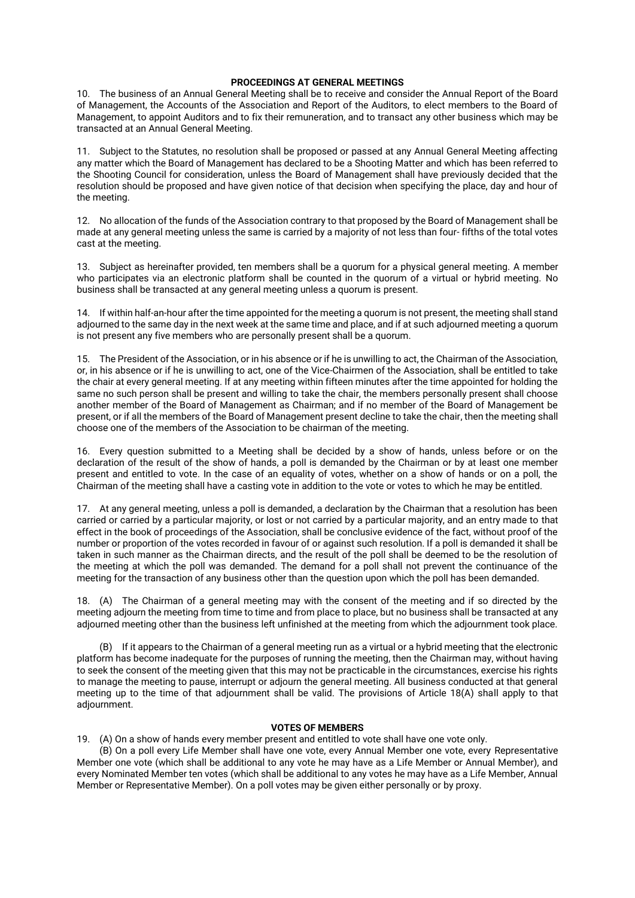# **PROCEEDINGS AT GENERAL MEETINGS**

10. The business of an Annual General Meeting shall be to receive and consider the Annual Report of the Board of Management, the Accounts of the Association and Report of the Auditors, to elect members to the Board of Management, to appoint Auditors and to fix their remuneration, and to transact any other business which may be transacted at an Annual General Meeting.

11. Subject to the Statutes, no resolution shall be proposed or passed at any Annual General Meeting affecting any matter which the Board of Management has declared to be a Shooting Matter and which has been referred to the Shooting Council for consideration, unless the Board of Management shall have previously decided that the resolution should be proposed and have given notice of that decision when specifying the place, day and hour of the meeting.

12. No allocation of the funds of the Association contrary to that proposed by the Board of Management shall be made at any general meeting unless the same is carried by a majority of not less than four- fifths of the total votes cast at the meeting.

13. Subject as hereinafter provided, ten members shall be a quorum for a physical general meeting. A member who participates via an electronic platform shall be counted in the quorum of a virtual or hybrid meeting. No business shall be transacted at any general meeting unless a quorum is present.

14. If within half-an-hour after the time appointed for the meeting a quorum is not present, the meeting shall stand adjourned to the same day in the next week at the same time and place, and if at such adjourned meeting a quorum is not present any five members who are personally present shall be a quorum.

15. The President of the Association, or in his absence or if he is unwilling to act, the Chairman of the Association, or, in his absence or if he is unwilling to act, one of the Vice-Chairmen of the Association, shall be entitled to take the chair at every general meeting. If at any meeting within fifteen minutes after the time appointed for holding the same no such person shall be present and willing to take the chair, the members personally present shall choose another member of the Board of Management as Chairman; and if no member of the Board of Management be present, or if all the members of the Board of Management present decline to take the chair, then the meeting shall choose one of the members of the Association to be chairman of the meeting.

16. Every question submitted to a Meeting shall be decided by a show of hands, unless before or on the declaration of the result of the show of hands, a poll is demanded by the Chairman or by at least one member present and entitled to vote. In the case of an equality of votes, whether on a show of hands or on a poll, the Chairman of the meeting shall have a casting vote in addition to the vote or votes to which he may be entitled.

17. At any general meeting, unless a poll is demanded, a declaration by the Chairman that a resolution has been carried or carried by a particular majority, or lost or not carried by a particular majority, and an entry made to that effect in the book of proceedings of the Association, shall be conclusive evidence of the fact, without proof of the number or proportion of the votes recorded in favour of or against such resolution. If a poll is demanded it shall be taken in such manner as the Chairman directs, and the result of the poll shall be deemed to be the resolution of the meeting at which the poll was demanded. The demand for a poll shall not prevent the continuance of the meeting for the transaction of any business other than the question upon which the poll has been demanded.

18. (A) The Chairman of a general meeting may with the consent of the meeting and if so directed by the meeting adjourn the meeting from time to time and from place to place, but no business shall be transacted at any adjourned meeting other than the business left unfinished at the meeting from which the adjournment took place.

(B) If it appears to the Chairman of a general meeting run as a virtual or a hybrid meeting that the electronic platform has become inadequate for the purposes of running the meeting, then the Chairman may, without having to seek the consent of the meeting given that this may not be practicable in the circumstances, exercise his rights to manage the meeting to pause, interrupt or adjourn the general meeting. All business conducted at that general meeting up to the time of that adjournment shall be valid. The provisions of Article 18(A) shall apply to that adjournment.

# **VOTES OF MEMBERS**

19. (A) On a show of hands every member present and entitled to vote shall have one vote only.

(B) On a poll every Life Member shall have one vote, every Annual Member one vote, every Representative Member one vote (which shall be additional to any vote he may have as a Life Member or Annual Member), and every Nominated Member ten votes (which shall be additional to any votes he may have as a Life Member, Annual Member or Representative Member). On a poll votes may be given either personally or by proxy.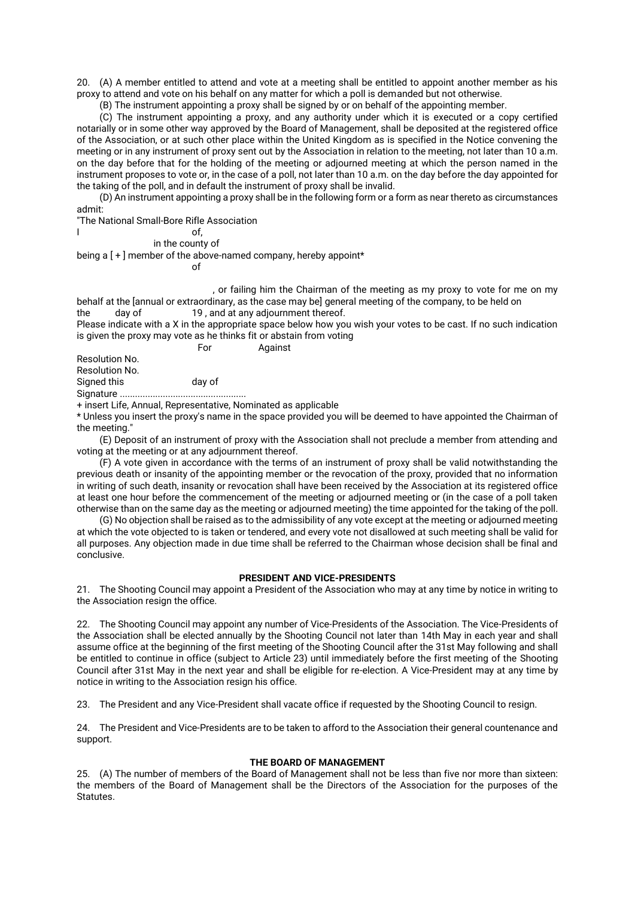20. (A) A member entitled to attend and vote at a meeting shall be entitled to appoint another member as his proxy to attend and vote on his behalf on any matter for which a poll is demanded but not otherwise.

(B) The instrument appointing a proxy shall be signed by or on behalf of the appointing member.

(C) The instrument appointing a proxy, and any authority under which it is executed or a copy certified notarially or in some other way approved by the Board of Management, shall be deposited at the registered office of the Association, or at such other place within the United Kingdom as is specified in the Notice convening the meeting or in any instrument of proxy sent out by the Association in relation to the meeting, not later than 10 a.m. on the day before that for the holding of the meeting or adjourned meeting at which the person named in the instrument proposes to vote or, in the case of a poll, not later than 10 a.m. on the day before the day appointed for the taking of the poll, and in default the instrument of proxy shall be invalid.

(D) An instrument appointing a proxy shall be in the following form or a form as near thereto as circumstances admit:

"The National Small-Bore Rifle Association

I of, in the county of

being a [ + ] member of the above-named company, hereby appoint\*

of

, or failing him the Chairman of the meeting as my proxy to vote for me on my behalf at the [annual or extraordinary, as the case may be] general meeting of the company, to be held on the day of 19, and at any adjournment thereof.

Please indicate with a X in the appropriate space below how you wish your votes to be cast. If no such indication is given the proxy may vote as he thinks fit or abstain from voting

For Against

Resolution No.

Resolution No. Signed this day of Signature ..................................................

+ insert Life, Annual, Representative, Nominated as applicable

\* Unless you insert the proxy's name in the space provided you will be deemed to have appointed the Chairman of the meeting."

(E) Deposit of an instrument of proxy with the Association shall not preclude a member from attending and voting at the meeting or at any adjournment thereof.

(F) A vote given in accordance with the terms of an instrument of proxy shall be valid notwithstanding the previous death or insanity of the appointing member or the revocation of the proxy, provided that no information in writing of such death, insanity or revocation shall have been received by the Association at its registered office at least one hour before the commencement of the meeting or adjourned meeting or (in the case of a poll taken otherwise than on the same day as the meeting or adjourned meeting) the time appointed for the taking of the poll.

(G) No objection shall be raised as to the admissibility of any vote except at the meeting or adjourned meeting at which the vote objected to is taken or tendered, and every vote not disallowed at such meeting shall be valid for all purposes. Any objection made in due time shall be referred to the Chairman whose decision shall be final and conclusive.

# **PRESIDENT AND VICE-PRESIDENTS**

21. The Shooting Council may appoint a President of the Association who may at any time by notice in writing to the Association resign the office.

22. The Shooting Council may appoint any number of Vice-Presidents of the Association. The Vice-Presidents of the Association shall be elected annually by the Shooting Council not later than 14th May in each year and shall assume office at the beginning of the first meeting of the Shooting Council after the 31st May following and shall be entitled to continue in office (subject to Article 23) until immediately before the first meeting of the Shooting Council after 31st May in the next year and shall be eligible for re-election. A Vice-President may at any time by notice in writing to the Association resign his office.

23. The President and any Vice-President shall vacate office if requested by the Shooting Council to resign.

24. The President and Vice-Presidents are to be taken to afford to the Association their general countenance and support.

# **THE BOARD OF MANAGEMENT**

25. (A) The number of members of the Board of Management shall not be less than five nor more than sixteen: the members of the Board of Management shall be the Directors of the Association for the purposes of the Statutes.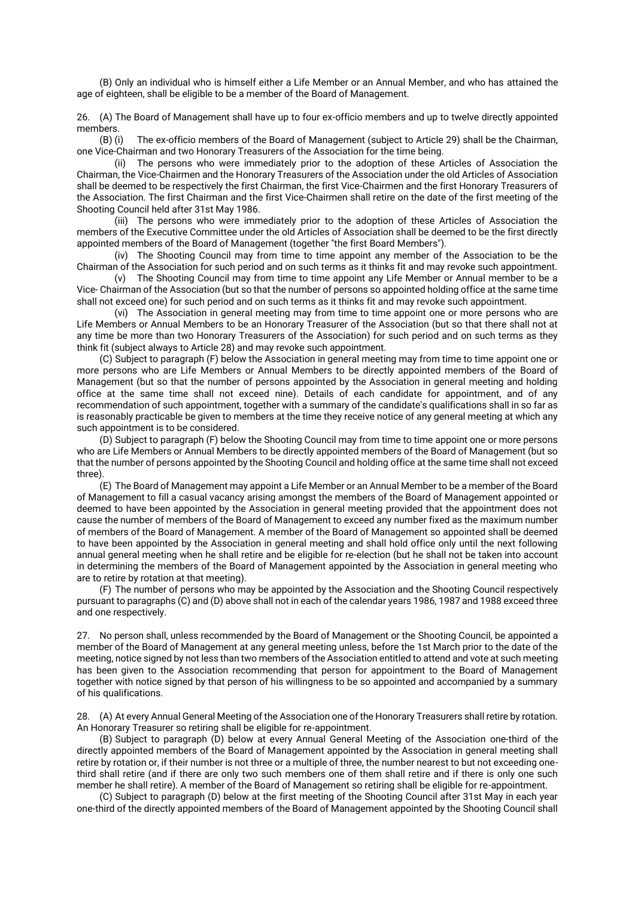(B) Only an individual who is himself either a Life Member or an Annual Member, and who has attained the age of eighteen, shall be eligible to be a member of the Board of Management.

26. (A) The Board of Management shall have up to four ex-officio members and up to twelve directly appointed members.

(B) (i) The ex-officio members of the Board of Management (subject to Article 29) shall be the Chairman, one Vice-Chairman and two Honorary Treasurers of the Association for the time being.

(ii) The persons who were immediately prior to the adoption of these Articles of Association the Chairman, the Vice-Chairmen and the Honorary Treasurers of the Association under the old Articles of Association shall be deemed to be respectively the first Chairman, the first Vice-Chairmen and the first Honorary Treasurers of the Association. The first Chairman and the first Vice-Chairmen shall retire on the date of the first meeting of the Shooting Council held after 31st May 1986.

(iii) The persons who were immediately prior to the adoption of these Articles of Association the members of the Executive Committee under the old Articles of Association shall be deemed to be the first directly appointed members of the Board of Management (together "the first Board Members").

(iv) The Shooting Council may from time to time appoint any member of the Association to be the Chairman of the Association for such period and on such terms as it thinks fit and may revoke such appointment.

(v) The Shooting Council may from time to time appoint any Life Member or Annual member to be a Vice- Chairman of the Association (but so that the number of persons so appointed holding office at the same time shall not exceed one) for such period and on such terms as it thinks fit and may revoke such appointment.

(vi) The Association in general meeting may from time to time appoint one or more persons who are Life Members or Annual Members to be an Honorary Treasurer of the Association (but so that there shall not at any time be more than two Honorary Treasurers of the Association) for such period and on such terms as they think fit (subject always to Article 28) and may revoke such appointment.

(C) Subject to paragraph (F) below the Association in general meeting may from time to time appoint one or more persons who are Life Members or Annual Members to be directly appointed members of the Board of Management (but so that the number of persons appointed by the Association in general meeting and holding office at the same time shall not exceed nine). Details of each candidate for appointment, and of any recommendation of such appointment, together with a summary of the candidate's qualifications shall in so far as is reasonably practicable be given to members at the time they receive notice of any general meeting at which any such appointment is to be considered.

(D) Subject to paragraph (F) below the Shooting Council may from time to time appoint one or more persons who are Life Members or Annual Members to be directly appointed members of the Board of Management (but so that the number of persons appointed by the Shooting Council and holding office at the same time shall not exceed three).

(E) The Board of Management may appoint a Life Member or an Annual Member to be a member of the Board of Management to fill a casual vacancy arising amongst the members of the Board of Management appointed or deemed to have been appointed by the Association in general meeting provided that the appointment does not cause the number of members of the Board of Management to exceed any number fixed as the maximum number of members of the Board of Management. A member of the Board of Management so appointed shall be deemed to have been appointed by the Association in general meeting and shall hold office only until the next following annual general meeting when he shall retire and be eligible for re-election (but he shall not be taken into account in determining the members of the Board of Management appointed by the Association in general meeting who are to retire by rotation at that meeting).

(F) The number of persons who may be appointed by the Association and the Shooting Council respectively pursuant to paragraphs (C) and (D) above shall not in each of the calendar years 1986, 1987 and 1988 exceed three and one respectively.

27. No person shall, unless recommended by the Board of Management or the Shooting Council, be appointed a member of the Board of Management at any general meeting unless, before the 1st March prior to the date of the meeting, notice signed by not less than two members of the Association entitled to attend and vote at such meeting has been given to the Association recommending that person for appointment to the Board of Management together with notice signed by that person of his willingness to be so appointed and accompanied by a summary of his qualifications.

28. (A) At every Annual General Meeting of the Association one of the Honorary Treasurers shall retire by rotation. An Honorary Treasurer so retiring shall be eligible for re-appointment.

(B) Subject to paragraph (D) below at every Annual General Meeting of the Association one-third of the directly appointed members of the Board of Management appointed by the Association in general meeting shall retire by rotation or, if their number is not three or a multiple of three, the number nearest to but not exceeding onethird shall retire (and if there are only two such members one of them shall retire and if there is only one such member he shall retire). A member of the Board of Management so retiring shall be eligible for re-appointment.

(C) Subject to paragraph (D) below at the first meeting of the Shooting Council after 31st May in each year one-third of the directly appointed members of the Board of Management appointed by the Shooting Council shall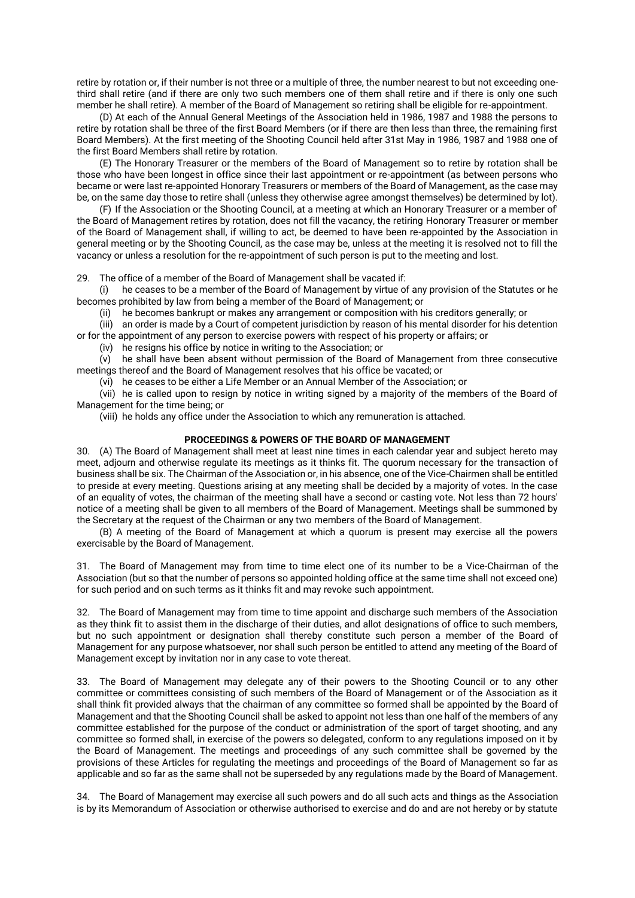retire by rotation or, if their number is not three or a multiple of three, the number nearest to but not exceeding onethird shall retire (and if there are only two such members one of them shall retire and if there is only one such member he shall retire). A member of the Board of Management so retiring shall be eligible for re-appointment.

(D) At each of the Annual General Meetings of the Association held in 1986, 1987 and 1988 the persons to retire by rotation shall be three of the first Board Members (or if there are then less than three, the remaining first Board Members). At the first meeting of the Shooting Council held after 31st May in 1986, 1987 and 1988 one of the first Board Members shall retire by rotation.

(E) The Honorary Treasurer or the members of the Board of Management so to retire by rotation shall be those who have been longest in office since their last appointment or re-appointment (as between persons who became or were last re-appointed Honorary Treasurers or members of the Board of Management, as the case may be, on the same day those to retire shall (unless they otherwise agree amongst themselves) be determined by lot).

(F) If the Association or the Shooting Council, at a meeting at which an Honorary Treasurer or a member of' the Board of Management retires by rotation, does not fill the vacancy, the retiring Honorary Treasurer or member of the Board of Management shall, if willing to act, be deemed to have been re-appointed by the Association in general meeting or by the Shooting Council, as the case may be, unless at the meeting it is resolved not to fill the vacancy or unless a resolution for the re-appointment of such person is put to the meeting and lost.

29. The office of a member of the Board of Management shall be vacated if:

(i) he ceases to be a member of the Board of Management by virtue of any provision of the Statutes or he becomes prohibited by law from being a member of the Board of Management; or

(ii) he becomes bankrupt or makes any arrangement or composition with his creditors generally; or

(iii) an order is made by a Court of competent jurisdiction by reason of his mental disorder for his detention or for the appointment of any person to exercise powers with respect of his property or affairs; or

(iv) he resigns his office by notice in writing to the Association; or

(v) he shall have been absent without permission of the Board of Management from three consecutive meetings thereof and the Board of Management resolves that his office be vacated; or

(vi) he ceases to be either a Life Member or an Annual Member of the Association; or

(vii) he is called upon to resign by notice in writing signed by a majority of the members of the Board of Management for the time being; or

(viii) he holds any office under the Association to which any remuneration is attached.

# **PROCEEDINGS & POWERS OF THE BOARD OF MANAGEMENT**

30. (A) The Board of Management shall meet at least nine times in each calendar year and subject hereto may meet, adjourn and otherwise regulate its meetings as it thinks fit. The quorum necessary for the transaction of business shall be six. The Chairman of the Association or, in his absence, one of the Vice-Chairmen shall be entitled to preside at every meeting. Questions arising at any meeting shall be decided by a majority of votes. In the case of an equality of votes, the chairman of the meeting shall have a second or casting vote. Not less than 72 hours' notice of a meeting shall be given to all members of the Board of Management. Meetings shall be summoned by the Secretary at the request of the Chairman or any two members of the Board of Management.

(B) A meeting of the Board of Management at which a quorum is present may exercise all the powers exercisable by the Board of Management.

31. The Board of Management may from time to time elect one of its number to be a Vice-Chairman of the Association (but so that the number of persons so appointed holding office at the same time shall not exceed one) for such period and on such terms as it thinks fit and may revoke such appointment.

32. The Board of Management may from time to time appoint and discharge such members of the Association as they think fit to assist them in the discharge of their duties, and allot designations of office to such members, but no such appointment or designation shall thereby constitute such person a member of the Board of Management for any purpose whatsoever, nor shall such person be entitled to attend any meeting of the Board of Management except by invitation nor in any case to vote thereat.

33. The Board of Management may delegate any of their powers to the Shooting Council or to any other committee or committees consisting of such members of the Board of Management or of the Association as it shall think fit provided always that the chairman of any committee so formed shall be appointed by the Board of Management and that the Shooting Council shall be asked to appoint not less than one half of the members of any committee established for the purpose of the conduct or administration of the sport of target shooting, and any committee so formed shall, in exercise of the powers so delegated, conform to any regulations imposed on it by the Board of Management. The meetings and proceedings of any such committee shall be governed by the provisions of these Articles for regulating the meetings and proceedings of the Board of Management so far as applicable and so far as the same shall not be superseded by any regulations made by the Board of Management.

34. The Board of Management may exercise all such powers and do all such acts and things as the Association is by its Memorandum of Association or otherwise authorised to exercise and do and are not hereby or by statute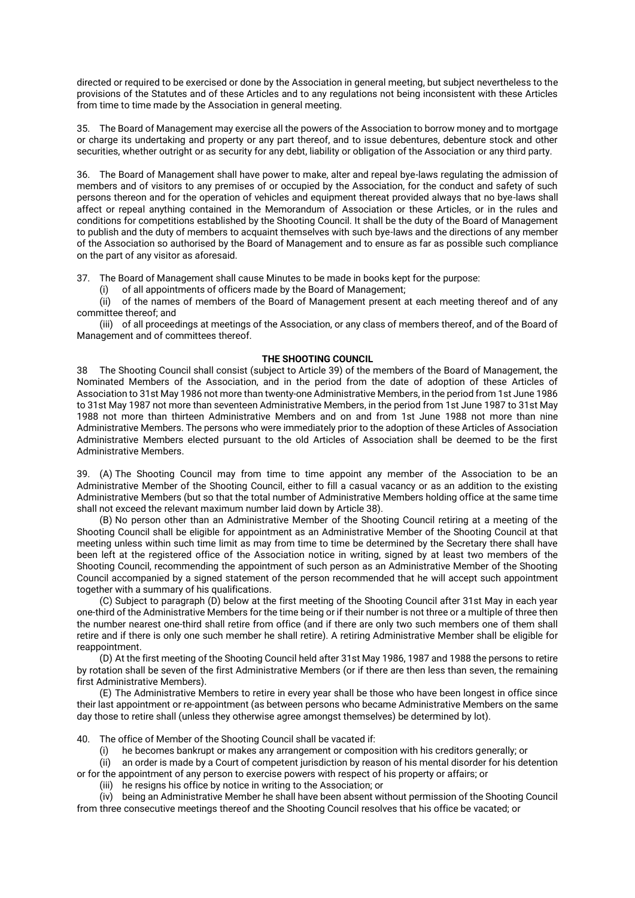directed or required to be exercised or done by the Association in general meeting, but subject nevertheless to the provisions of the Statutes and of these Articles and to any regulations not being inconsistent with these Articles from time to time made by the Association in general meeting.

35. The Board of Management may exercise all the powers of the Association to borrow money and to mortgage or charge its undertaking and property or any part thereof, and to issue debentures, debenture stock and other securities, whether outright or as security for any debt, liability or obligation of the Association or any third party.

36. The Board of Management shall have power to make, alter and repeal bye-laws regulating the admission of members and of visitors to any premises of or occupied by the Association, for the conduct and safety of such persons thereon and for the operation of vehicles and equipment thereat provided always that no bye-laws shall affect or repeal anything contained in the Memorandum of Association or these Articles, or in the rules and conditions for competitions established by the Shooting Council. It shall be the duty of the Board of Management to publish and the duty of members to acquaint themselves with such bye-laws and the directions of any member of the Association so authorised by the Board of Management and to ensure as far as possible such compliance on the part of any visitor as aforesaid.

37. The Board of Management shall cause Minutes to be made in books kept for the purpose:

(i) of all appointments of officers made by the Board of Management;

 $\overrightarrow{(ii)}$  of the names of members of the Board of Management present at each meeting thereof and of any committee thereof; and

(iii) of all proceedings at meetings of the Association, or any class of members thereof, and of the Board of Management and of committees thereof.

# **THE SHOOTING COUNCIL**

38 The Shooting Council shall consist (subject to Article 39) of the members of the Board of Management, the Nominated Members of the Association, and in the period from the date of adoption of these Articles of Association to 31st May 1986 not more than twenty-one Administrative Members, in the period from 1st June 1986 to 31st May 1987 not more than seventeen Administrative Members, in the period from 1st June 1987 to 31st May 1988 not more than thirteen Administrative Members and on and from 1st June 1988 not more than nine Administrative Members. The persons who were immediately prior to the adoption of these Articles of Association Administrative Members elected pursuant to the old Articles of Association shall be deemed to be the first Administrative Members.

39. (A) The Shooting Council may from time to time appoint any member of the Association to be an Administrative Member of the Shooting Council, either to fill a casual vacancy or as an addition to the existing Administrative Members (but so that the total number of Administrative Members holding office at the same time shall not exceed the relevant maximum number laid down by Article 38).

(B) No person other than an Administrative Member of the Shooting Council retiring at a meeting of the Shooting Council shall be eligible for appointment as an Administrative Member of the Shooting Council at that meeting unless within such time limit as may from time to time be determined by the Secretary there shall have been left at the registered office of the Association notice in writing, signed by at least two members of the Shooting Council, recommending the appointment of such person as an Administrative Member of the Shooting Council accompanied by a signed statement of the person recommended that he will accept such appointment together with a summary of his qualifications.

(C) Subject to paragraph (D) below at the first meeting of the Shooting Council after 31st May in each year one-third of the Administrative Members for the time being or if their number is not three or a multiple of three then the number nearest one-third shall retire from office (and if there are only two such members one of them shall retire and if there is only one such member he shall retire). A retiring Administrative Member shall be eligible for reappointment.

(D) At the first meeting of the Shooting Council held after 31st May 1986, 1987 and 1988 the persons to retire by rotation shall be seven of the first Administrative Members (or if there are then less than seven, the remaining first Administrative Members).

(E) The Administrative Members to retire in every year shall be those who have been longest in office since their last appointment or re-appointment (as between persons who became Administrative Members on the same day those to retire shall (unless they otherwise agree amongst themselves) be determined by lot).

40. The office of Member of the Shooting Council shall be vacated if:

(i) he becomes bankrupt or makes any arrangement or composition with his creditors generally; or

(ii) an order is made by a Court of competent jurisdiction by reason of his mental disorder for his detention or for the appointment of any person to exercise powers with respect of his property or affairs; or

(iii) he resigns his office by notice in writing to the Association; or

(iv) being an Administrative Member he shall have been absent without permission of the Shooting Council from three consecutive meetings thereof and the Shooting Council resolves that his office be vacated; or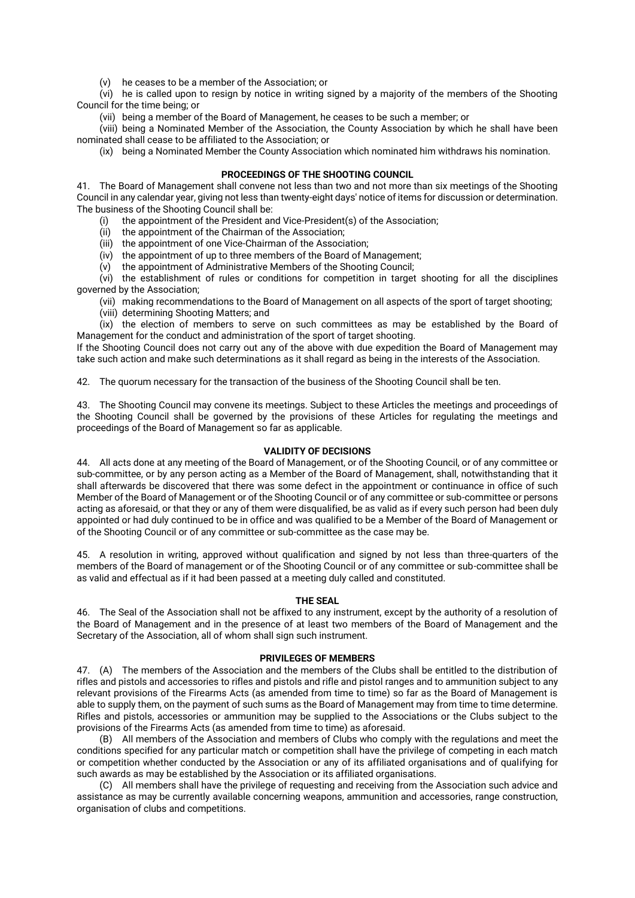(v) he ceases to be a member of the Association; or

(vi) he is called upon to resign by notice in writing signed by a majority of the members of the Shooting Council for the time being; or

(vii) being a member of the Board of Management, he ceases to be such a member; or

(viii) being a Nominated Member of the Association, the County Association by which he shall have been nominated shall cease to be affiliated to the Association; or

(ix) being a Nominated Member the County Association which nominated him withdraws his nomination.

# **PROCEEDINGS OF THE SHOOTING COUNCIL**

41. The Board of Management shall convene not less than two and not more than six meetings of the Shooting Council in any calendar year, giving not less than twenty-eight days' notice of items for discussion or determination. The business of the Shooting Council shall be:

- (i) the appointment of the President and Vice-President(s) of the Association;
- (ii) the appointment of the Chairman of the Association;
- (iii) the appointment of one Vice-Chairman of the Association;
- (iv) the appointment of up to three members of the Board of Management;
- (v) the appointment of Administrative Members of the Shooting Council;

(vi) the establishment of rules or conditions for competition in target shooting for all the disciplines governed by the Association;

- (vii) making recommendations to the Board of Management on all aspects of the sport of target shooting;
- (viii) determining Shooting Matters; and

(ix) the election of members to serve on such committees as may be established by the Board of Management for the conduct and administration of the sport of target shooting.

If the Shooting Council does not carry out any of the above with due expedition the Board of Management may take such action and make such determinations as it shall regard as being in the interests of the Association.

42. The quorum necessary for the transaction of the business of the Shooting Council shall be ten.

43. The Shooting Council may convene its meetings. Subject to these Articles the meetings and proceedings of the Shooting Council shall be governed by the provisions of these Articles for regulating the meetings and proceedings of the Board of Management so far as applicable.

# **VALIDITY OF DECISIONS**

44. All acts done at any meeting of the Board of Management, or of the Shooting Council, or of any committee or sub-committee, or by any person acting as a Member of the Board of Management, shall, notwithstanding that it shall afterwards be discovered that there was some defect in the appointment or continuance in office of such Member of the Board of Management or of the Shooting Council or of any committee or sub-committee or persons acting as aforesaid, or that they or any of them were disqualified, be as valid as if every such person had been duly appointed or had duly continued to be in office and was qualified to be a Member of the Board of Management or of the Shooting Council or of any committee or sub-committee as the case may be.

45. A resolution in writing, approved without qualification and signed by not less than three-quarters of the members of the Board of management or of the Shooting Council or of any committee or sub-committee shall be as valid and effectual as if it had been passed at a meeting duly called and constituted.

# **THE SEAL**

46. The Seal of the Association shall not be affixed to any instrument, except by the authority of a resolution of the Board of Management and in the presence of at least two members of the Board of Management and the Secretary of the Association, all of whom shall sign such instrument.

# **PRIVILEGES OF MEMBERS**

47. (A) The members of the Association and the members of the Clubs shall be entitled to the distribution of rifles and pistols and accessories to rifles and pistols and rifle and pistol ranges and to ammunition subject to any relevant provisions of the Firearms Acts (as amended from time to time) so far as the Board of Management is able to supply them, on the payment of such sums as the Board of Management may from time to time determine. Rifles and pistols, accessories or ammunition may be supplied to the Associations or the Clubs subject to the provisions of the Firearms Acts (as amended from time to time) as aforesaid.

(B) All members of the Association and members of Clubs who comply with the regulations and meet the conditions specified for any particular match or competition shall have the privilege of competing in each match or competition whether conducted by the Association or any of its affiliated organisations and of qualifying for such awards as may be established by the Association or its affiliated organisations.

(C) All members shall have the privilege of requesting and receiving from the Association such advice and assistance as may be currently available concerning weapons, ammunition and accessories, range construction, organisation of clubs and competitions.